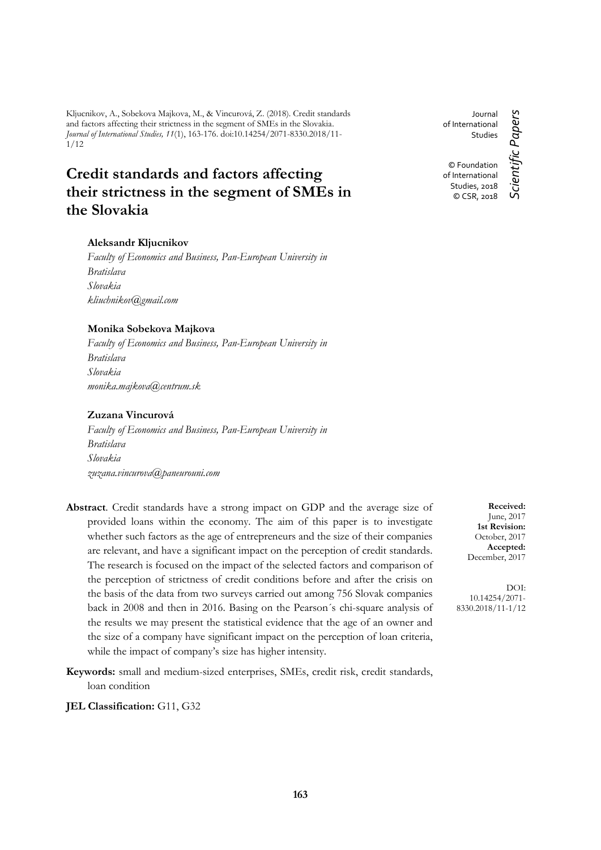Kljucnikov, A., Sobekova Majkova, M., & Vincurová, Z. (2018). Credit standards and factors affecting their strictness in the segment of SMEs in the Slovakia. *Journal of International Studies, 11*(1), 163-176. doi:10.14254/2071-8330.2018/11- 1/12

# **Credit standards and factors affecting their strictness in the segment of SMEs in the Slovakia**

## **Aleksandr Kljucnikov**

*Faculty of Economics and Business, Pan-European University in Bratislava Slovakia [kliuchnikov@gmail.com](mailto:kliuchnikov@gmail.com)*

## **Monika Sobekova Majkova**

*Faculty of Economics and Business, Pan-European University in Bratislava Slovakia [monika.majkova@centrum.sk](mailto:monika.majkova@centrum.sk)*

# **Zuzana Vincurová**

*Faculty of Economics and Business, Pan-European University in Bratislava Slovakia zuzana.vincurova@paneurouni.com*

- **Abstract**. Credit standards have a strong impact on GDP and the average size of provided loans within the economy. The aim of this paper is to investigate whether such factors as the age of entrepreneurs and the size of their companies are relevant, and have a significant impact on the perception of credit standards. The research is focused on the impact of the selected factors and comparison of the perception of strictness of credit conditions before and after the crisis on the basis of the data from two surveys carried out among 756 Slovak companies back in 2008 and then in 2016. Basing on the Pearson´s chi-square analysis of the results we may present the statistical evidence that the age of an owner and the size of a company have significant impact on the perception of loan criteria, while the impact of company's size has higher intensity.
- **Keywords:** small and medium-sized enterprises, SMEs, credit risk, credit standards, loan condition
- **JEL Classification:** G11, G32

of International Studies © Foundation of International Studies, 2018 © CSR, 2018

Journal

*Scientific Papers*

Scientific Papers

**Received:** June, 2017 **1st Revision:** October, 2017 **Accepted:** December, 2017

DOI: 10.14254/2071- 8330.2018/11-1/12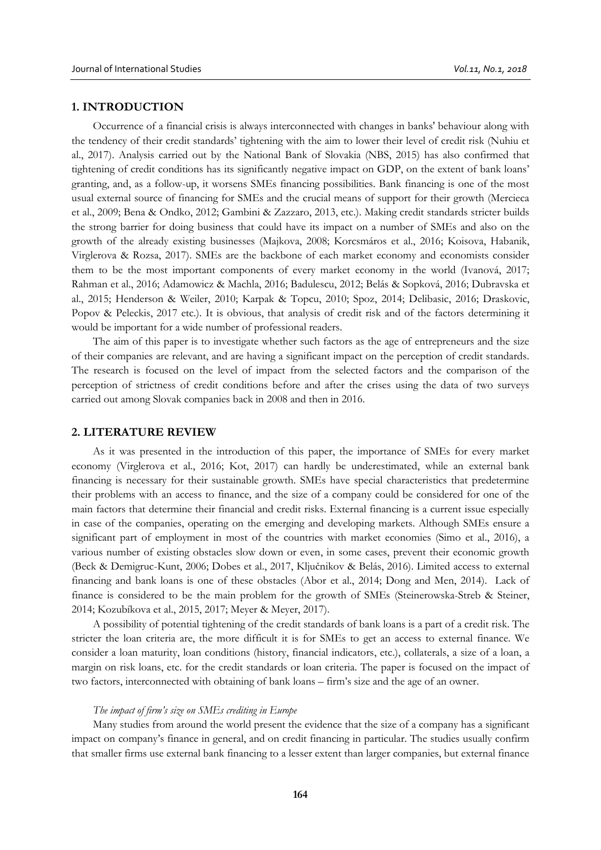# **1. INTRODUCTION**

Occurrence of a financial crisis is always interconnected with changes in banks' behaviour along with the tendency of their credit standards' tightening with the aim to lower their level of credit risk (Nuhiu et al., 2017). Analysis carried out by the National Bank of Slovakia (NBS, 2015) has also confirmed that tightening of credit conditions has its significantly negative impact on GDP, on the extent of bank loans' granting, and, as a follow-up, it worsens SMEs financing possibilities. Bank financing is one of the most usual external source of financing for SMEs and the crucial means of support for their growth (Mercieca et al., 2009; Bena & Ondko, 2012; Gambini & Zazzaro, 2013, etc.). Making credit standards stricter builds the strong barrier for doing business that could have its impact on a number of SMEs and also on the growth of the already existing businesses (Majkova, 2008; Korcsmáros et al., 2016; Koisova, Habanik, Virglerova & Rozsa, 2017). SMEs are the backbone of each market economy and economists consider them to be the most important components of every market economy in the world (Ivanová, 2017; Rahman et al., 2016; Adamowicz & Machla, 2016; Badulescu, 2012; Belás & Sopková, 2016; Dubravska et al., 2015; Henderson & Weiler, 2010; Karpak & Topcu, 2010; Spoz, 2014; Delibasic, 2016; Draskovic, Popov & Peleckis, 2017 etc.). It is obvious, that analysis of credit risk and of the factors determining it would be important for a wide number of professional readers.

The aim of this paper is to investigate whether such factors as the age of entrepreneurs and the size of their companies are relevant, and are having a significant impact on the perception of credit standards. The research is focused on the level of impact from the selected factors and the comparison of the perception of strictness of credit conditions before and after the crises using the data of two surveys carried out among Slovak companies back in 2008 and then in 2016.

## **2. LITERATURE REVIEW**

As it was presented in the introduction of this paper, the importance of SMEs for every market economy (Virglerova et al., 2016; Kot, 2017) can hardly be underestimated, while an external bank financing is necessary for their sustainable growth. SMEs have special characteristics that predetermine their problems with an access to finance, and the size of a company could be considered for one of the main factors that determine their financial and credit risks. External financing is a current issue especially in case of the companies, operating on the emerging and developing markets. Although SMEs ensure a significant part of employment in most of the countries with market economies (Simo et al., 2016), a various number of existing obstacles slow down or even, in some cases, prevent their economic growth (Beck & Demigruc-Kunt, 2006; Dobes et al., 2017, Ključnikov & Belás, 2016). Limited access to external financing and bank loans is one of these obstacles (Abor et al., 2014; Dong and Men, 2014). Lack of finance is considered to be the main problem for the growth of SMEs (Steinerowska-Streb & Steiner, 2014; Kozubíkova et al., 2015, 2017; Meyer & Meyer, 2017).

A possibility of potential tightening of the credit standards of bank loans is a part of a credit risk. The stricter the loan criteria are, the more difficult it is for SMEs to get an access to external finance. We consider a loan maturity, loan conditions (history, financial indicators, etc.), collaterals, a size of a loan, a margin on risk loans, etc. for the credit standards or loan criteria. The paper is focused on the impact of two factors, interconnected with obtaining of bank loans – firm's size and the age of an owner.

### *The impact of firm's size on SMEs crediting in Europe*

Many studies from around the world present the evidence that the size of a company has a significant impact on company's finance in general, and on credit financing in particular. The studies usually confirm that smaller firms use external bank financing to a lesser extent than larger companies, but external finance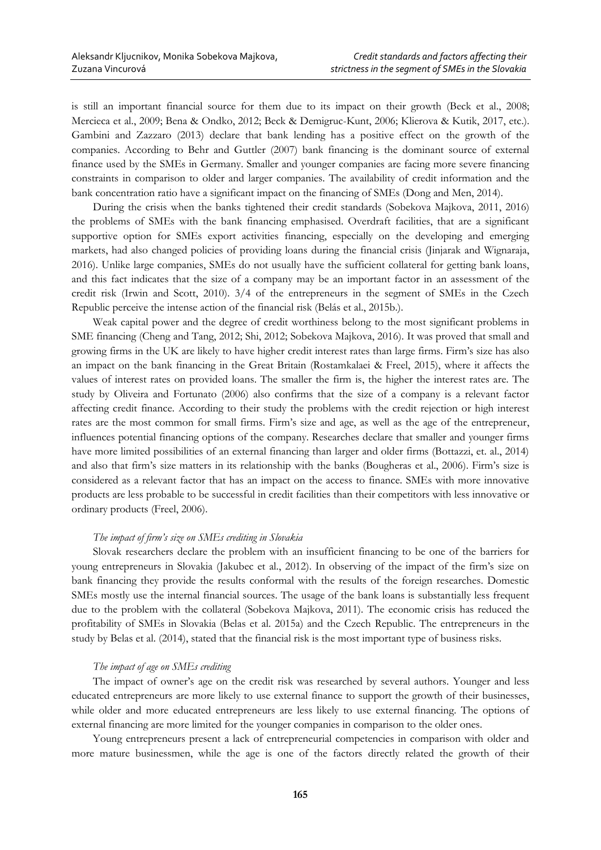is still an important financial source for them due to its impact on their growth (Beck et al., 2008; Mercieca et al., 2009; Bena & Ondko, 2012; Beck & Demigruc-Kunt, 2006; Klierova & Kutik, 2017, etc.). Gambini and Zazzaro (2013) declare that bank lending has a positive effect on the growth of the companies. According to Behr and Guttler (2007) bank financing is the dominant source of external finance used by the SMEs in Germany. Smaller and younger companies are facing more severe financing constraints in comparison to older and larger companies. The availability of credit information and the bank concentration ratio have a significant impact on the financing of SMEs (Dong and Men, 2014).

During the crisis when the banks tightened their credit standards (Sobekova Majkova, 2011, 2016) the problems of SMEs with the bank financing emphasised. Overdraft facilities, that are a significant supportive option for SMEs export activities financing, especially on the developing and emerging markets, had also changed policies of providing loans during the financial crisis (Jinjarak and Wignaraja, 2016). Unlike large companies, SMEs do not usually have the sufficient collateral for getting bank loans, and this fact indicates that the size of a company may be an important factor in an assessment of the credit risk (Irwin and Scott, 2010). 3/4 of the entrepreneurs in the segment of SMEs in the Czech Republic perceive the intense action of the financial risk (Belás et al., 2015b.).

Weak capital power and the degree of credit worthiness belong to the most significant problems in SME financing (Cheng and Tang, 2012; Shi, 2012; Sobekova Majkova, 2016). It was proved that small and growing firms in the UK are likely to have higher credit interest rates than large firms. Firm's size has also an impact on the bank financing in the Great Britain (Rostamkalaei & Freel, 2015), where it affects the values of interest rates on provided loans. The smaller the firm is, the higher the interest rates are. The study by Oliveira and Fortunato (2006) also confirms that the size of a company is a relevant factor affecting credit finance. According to their study the problems with the credit rejection or high interest rates are the most common for small firms. Firm's size and age, as well as the age of the entrepreneur, influences potential financing options of the company. Researches declare that smaller and younger firms have more limited possibilities of an external financing than larger and older firms (Bottazzi, et. al., 2014) and also that firm's size matters in its relationship with the banks (Bougheras et al., 2006). Firm's size is considered as a relevant factor that has an impact on the access to finance. SMEs with more innovative products are less probable to be successful in credit facilities than their competitors with less innovative or ordinary products (Freel, 2006).

## *The impact of firm's size on SMEs crediting in Slovakia*

Slovak researchers declare the problem with an insufficient financing to be one of the barriers for young entrepreneurs in Slovakia (Jakubec et al., 2012). In observing of the impact of the firm's size on bank financing they provide the results conformal with the results of the foreign researches. Domestic SMEs mostly use the internal financial sources. The usage of the bank loans is substantially less frequent due to the problem with the collateral (Sobekova Majkova, 2011). The economic crisis has reduced the profitability of SMEs in Slovakia (Belas et al. 2015a) and the Czech Republic. The entrepreneurs in the study by Belas et al. (2014), stated that the financial risk is the most important type of business risks.

### *The impact of age on SMEs crediting*

The impact of owner's age on the credit risk was researched by several authors*.* Younger and less educated entrepreneurs are more likely to use external finance to support the growth of their businesses, while older and more educated entrepreneurs are less likely to use external financing. The options of external financing are more limited for the younger companies in comparison to the older ones.

Young entrepreneurs present a lack of entrepreneurial competencies in comparison with older and more mature businessmen, while the age is one of the factors directly related the growth of their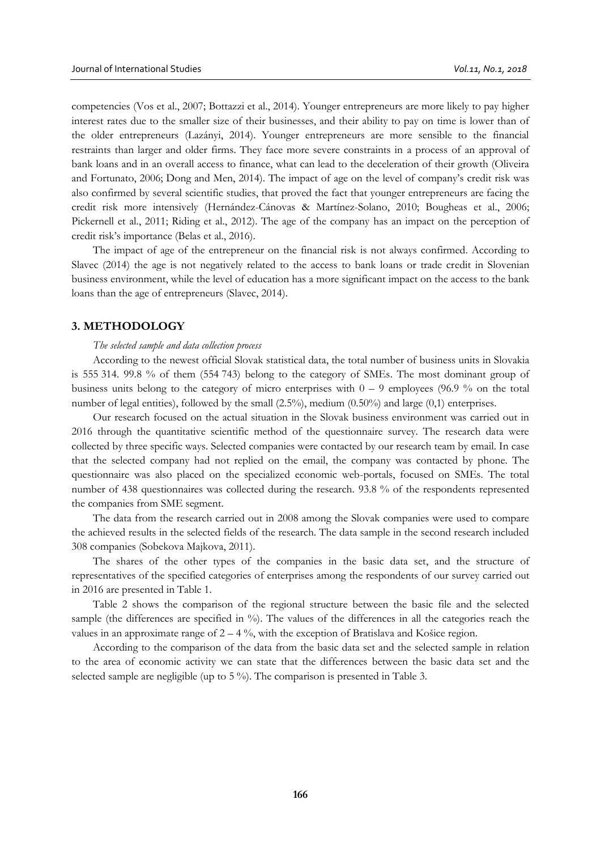competencies (Vos et al., 2007; Bottazzi et al., 2014). Younger entrepreneurs are more likely to pay higher interest rates due to the smaller size of their businesses, and their ability to pay on time is lower than of the older entrepreneurs (Lazányi, 2014). Younger entrepreneurs are more sensible to the financial restraints than larger and older firms. They face more severe constraints in a process of an approval of bank loans and in an overall access to finance, what can lead to the deceleration of their growth (Oliveira and Fortunato, 2006; Dong and Men, 2014). The impact of age on the level of company's credit risk was also confirmed by several scientific studies, that proved the fact that younger entrepreneurs are facing the credit risk more intensively (Hernández-Cánovas & Martínez-Solano, 2010; Bougheas et al., 2006; Pickernell et al., 2011; Riding et al., 2012). The age of the company has an impact on the perception of credit risk's importance (Belas et al., 2016).

The impact of age of the entrepreneur on the financial risk is not always confirmed. According to Slavec (2014) the age is not negatively related to the access to bank loans or trade credit in Slovenian business environment, while the level of education has a more significant impact on the access to the bank loans than the age of entrepreneurs (Slavec, 2014).

## **3. METHODOLOGY**

#### *The selected sample and data collection process*

According to the newest official Slovak statistical data, the total number of business units in Slovakia is 555 314. 99.8 % of them (554 743) belong to the category of SMEs. The most dominant group of business units belong to the category of micro enterprises with  $0 - 9$  employees (96.9 % on the total number of legal entities), followed by the small  $(2.5\%)$ , medium  $(0.50\%)$  and large  $(0,1)$  enterprises.

Our research focused on the actual situation in the Slovak business environment was carried out in 2016 through the quantitative scientific method of the questionnaire survey. The research data were collected by three specific ways. Selected companies were contacted by our research team by email. In case that the selected company had not replied on the email, the company was contacted by phone. The questionnaire was also placed on the specialized economic web-portals, focused on SMEs. The total number of 438 questionnaires was collected during the research. 93.8 % of the respondents represented the companies from SME segment.

The data from the research carried out in 2008 among the Slovak companies were used to compare the achieved results in the selected fields of the research. The data sample in the second research included 308 companies (Sobekova Majkova, 2011).

The shares of the other types of the companies in the basic data set, and the structure of representatives of the specified categories of enterprises among the respondents of our survey carried out in 2016 are presented in Table 1.

Table 2 shows the comparison of the regional structure between the basic file and the selected sample (the differences are specified in %). The values of the differences in all the categories reach the values in an approximate range of  $2 - 4\%$ , with the exception of Bratislava and Košice region.

According to the comparison of the data from the basic data set and the selected sample in relation to the area of economic activity we can state that the differences between the basic data set and the selected sample are negligible (up to 5 %). The comparison is presented in Table 3.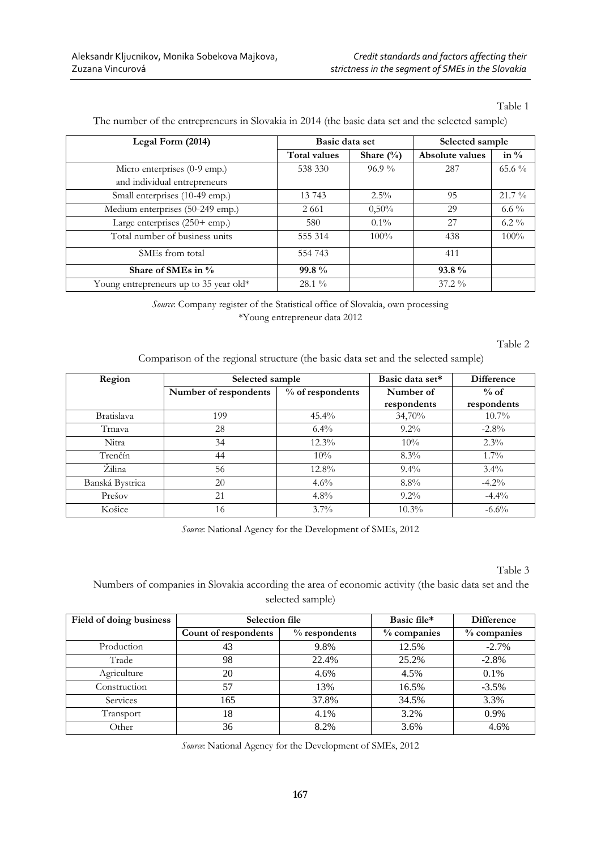Table 1

| Legal Form (2014)                       | Basic data set |              | Selected sample |          |  |
|-----------------------------------------|----------------|--------------|-----------------|----------|--|
|                                         | Total values   | Share $(\%)$ | Absolute values | in $\%$  |  |
| Micro enterprises (0-9 emp.)            | 538 330        | $96.9\%$     | 287             | $65.6\%$ |  |
| and individual entrepreneurs            |                |              |                 |          |  |
| Small enterprises (10-49 emp.)          | 13 743         | $2.5\%$      | 95              | $21.7\%$ |  |
| Medium enterprises (50-249 emp.)        | 2 6 6 1        | 0,50%        | 29              | 6.6 $\%$ |  |
| Large enterprises $(250 + \text{emp.})$ | 580            | $0.1\%$      | 27              | $6.2\%$  |  |
| Total number of business units          | 555 314        | $100\%$      | 438             | $100\%$  |  |
| SME <sub>s</sub> from total             | 554 743        |              | 411             |          |  |
| Share of SMEs in %                      | $99.8\%$       |              | $93.8\%$        |          |  |
| Young entrepreneurs up to 35 year old*  | $28.1\%$       |              | $37.2\%$        |          |  |

The number of the entrepreneurs in Slovakia in 2014 (the basic data set and the selected sample)

*Source*: Company register of the Statistical office of Slovakia, own processing \*Young entrepreneur data 2012

Table 2

Comparison of the regional structure (the basic data set and the selected sample)

| Region            | Selected sample       |                  | Basic data set*          | Difference            |
|-------------------|-----------------------|------------------|--------------------------|-----------------------|
|                   | Number of respondents | % of respondents | Number of<br>respondents | $%$ of<br>respondents |
| <b>Bratislava</b> | 199                   | $45.4\%$         | 34,70%                   | $10.7\%$              |
| Trnava            | 28                    | $6.4\%$          | $9.2\%$                  | $-2.8\%$              |
| Nitra             | 34                    | $12.3\%$         | 10%                      | $2.3\%$               |
| Trenčín           | 44                    | 10%              | $8.3\%$                  | $1.7\%$               |
| Żilina            | 56                    | $12.8\%$         | $9.4\%$                  | $3.4\%$               |
| Banská Bystrica   | 20                    | $4.6\%$          | $8.8\%$                  | $-4.2\%$              |
| Prešov            | 21                    | $4.8\%$          | $9.2\%$                  | $-4.4\%$              |
| Košice            | 16                    | $3.7\%$          | $10.3\%$                 | $-6.6\%$              |

*Source*: National Agency for the Development of SMEs, 2012

Table 3

Numbers of companies in Slovakia according the area of economic activity (the basic data set and the selected sample)

| Field of doing business | Selection file       |                  | Basic file* | <b>Difference</b> |
|-------------------------|----------------------|------------------|-------------|-------------------|
|                         | Count of respondents | $\%$ respondents | % companies | % companies       |
| Production              | 43                   | 9.8%             | 12.5%       | $-2.7\%$          |
| Trade                   | 98                   | 22.4%            | 25.2%       | $-2.8%$           |
| Agriculture             | 20                   | 4.6%             | 4.5%        | 0.1%              |
| Construction            | 57                   | 13%              | 16.5%       | $-3.5%$           |
| Services                | 165                  | 37.8%            | 34.5%       | 3.3%              |
| Transport               | 18                   | 4.1%             | 3.2%        | 0.9%              |
| Other                   | 36                   | 8.2%             | 3.6%        | 4.6%              |

*Source*: National Agency for the Development of SMEs, 2012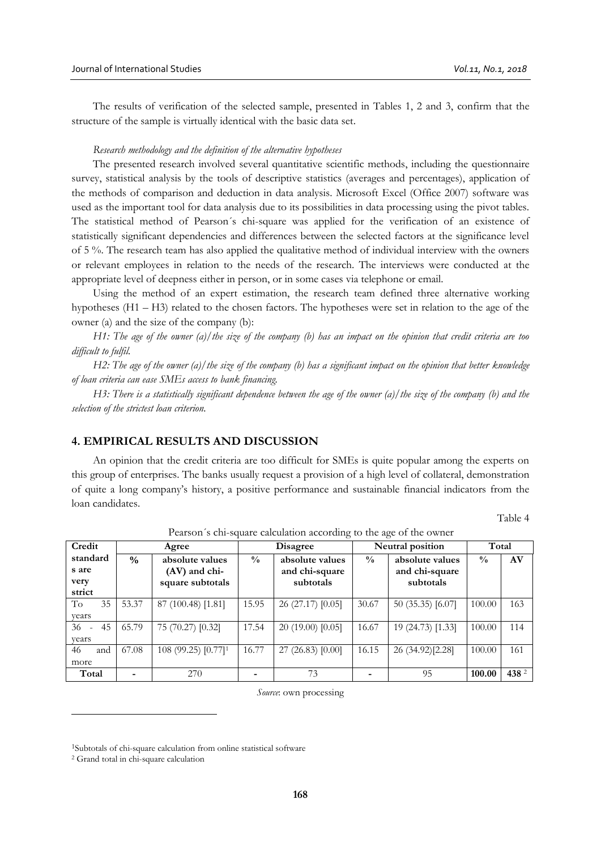The results of verification of the selected sample, presented in Tables 1, 2 and 3, confirm that the structure of the sample is virtually identical with the basic data set.

## *Research methodology and the definition of the alternative hypotheses*

The presented research involved several quantitative scientific methods, including the questionnaire survey, statistical analysis by the tools of descriptive statistics (averages and percentages), application of the methods of comparison and deduction in data analysis. Microsoft Excel (Office 2007) software was used as the important tool for data analysis due to its possibilities in data processing using the pivot tables. The statistical method of Pearson´s chi-square was applied for the verification of an existence of statistically significant dependencies and differences between the selected factors at the significance level of 5 %. The research team has also applied the qualitative method of individual interview with the owners or relevant employees in relation to the needs of the research. The interviews were conducted at the appropriate level of deepness either in person, or in some cases via telephone or email.

Using the method of an expert estimation, the research team defined three alternative working hypotheses (H1 – H3) related to the chosen factors. The hypotheses were set in relation to the age of the owner (a) and the size of the company (b):

*H1: The age of the owner (a)/the size of the company (b) has an impact on the opinion that credit criteria are too difficult to fulfil.*

*H2: The age of the owner (a)/the size of the company (b) has a significant impact on the opinion that better knowledge of loan criteria can ease SMEs access to bank financing.*

*H3: There is a statistically significant dependence between the age of the owner (a)/the size of the company (b) and the selection of the strictest loan criterion.* 

# **4. EMPIRICAL RESULTS AND DISCUSSION**

An opinion that the credit criteria are too difficult for SMEs is quite popular among the experts on this group of enterprises. The banks usually request a provision of a high level of collateral, demonstration of quite a long company's history, a positive performance and sustainable financial indicators from the loan candidates.

Table 4

|           |               |                                 | $\circ$<br>$\leftrightarrow$               |                   |               |                   |               |       |
|-----------|---------------|---------------------------------|--------------------------------------------|-------------------|---------------|-------------------|---------------|-------|
| Credit    |               | Agree                           | <b>Neutral position</b><br><b>Disagree</b> |                   |               | Total             |               |       |
| standard  | $\frac{0}{0}$ | absolute values                 | $\frac{0}{0}$                              | absolute values   | $\frac{0}{0}$ | absolute values   | $\frac{0}{0}$ | AV    |
| s are     |               | (AV) and chi-                   |                                            | and chi-square    |               | and chi-square    |               |       |
| very      |               | square subtotals                |                                            | subtotals         |               | subtotals         |               |       |
| strict    |               |                                 |                                            |                   |               |                   |               |       |
| To<br>35  | 53.37         | 87 (100.48) [1.81]              | 15.95                                      | 26 (27.17) [0.05] | 30.67         | 50 (35.35) [6.07] | 100.00        | 163   |
| vears     |               |                                 |                                            |                   |               |                   |               |       |
| 36<br>45  | 65.79         | 75 (70.27) [0.32]               | 17.54                                      | 20(19.00)[0.05]   | 16.67         | 19 (24.73) [1.33] | 100.00        | 114   |
| vears     |               |                                 |                                            |                   |               |                   |               |       |
| 46<br>and | 67.08         | 108 (99.25) [0.77] <sup>1</sup> | 16.77                                      | 27(26.83)[0.00]   | 16.15         | 26 (34.92)[2.28]  | 100.00        | 161   |
| more      |               |                                 |                                            |                   |               |                   |               |       |
| Total     |               | 270                             |                                            | 73                |               | 95                | 100.00        | 438 2 |

Pearson´s chi-square calculation according to the age of the owner

*Source*: own processing

 $\overline{a}$ 

<sup>1</sup>Subtotals of chi-square calculation from online statistical software

<sup>2</sup> Grand total in chi-square calculation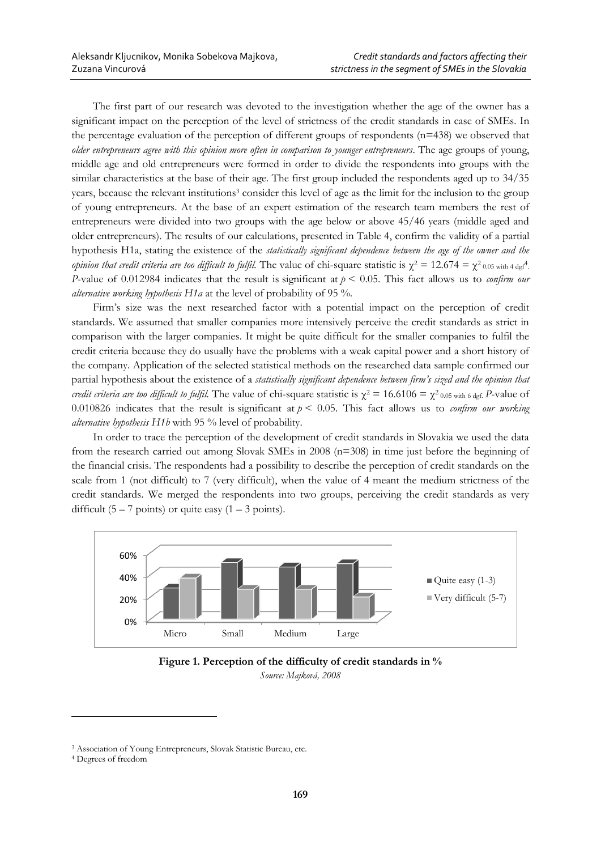The first part of our research was devoted to the investigation whether the age of the owner has a significant impact on the perception of the level of strictness of the credit standards in case of SMEs. In the percentage evaluation of the perception of different groups of respondents (n=438) we observed that *older entrepreneurs agree with this opinion more often in comparison to younger entrepreneurs*. The age groups of young, middle age and old entrepreneurs were formed in order to divide the respondents into groups with the similar characteristics at the base of their age. The first group included the respondents aged up to 34/35 years, because the relevant institutions<sup>3</sup> consider this level of age as the limit for the inclusion to the group of young entrepreneurs. At the base of an expert estimation of the research team members the rest of entrepreneurs were divided into two groups with the age below or above 45/46 years (middle aged and older entrepreneurs). The results of our calculations, presented in Table 4, confirm the validity of a partial hypothesis H1a, stating the existence of the *statistically significant dependence between the age of the owner and the opinion that credit criteria are too difficult to fulfil.* The value of chi-square statistic is  $\chi^2 = 12.674 = \chi^2_{0.05 \text{ with } 4 \text{ dg}}$ . *P*-value of 0.012984 indicates that the result is significant at *p* < 0.05. This fact allows us to *confirm our alternative working hypothesis H1a* at the level of probability of 95 %.

Firm's size was the next researched factor with a potential impact on the perception of credit standards. We assumed that smaller companies more intensively perceive the credit standards as strict in comparison with the larger companies. It might be quite difficult for the smaller companies to fulfil the credit criteria because they do usually have the problems with a weak capital power and a short history of the company. Application of the selected statistical methods on the researched data sample confirmed our partial hypothesis about the existence of a *statistically significant dependence between firm's sized and the opinion that credit criteria are too difficult to fulfil.* The value of chi-square statistic is  $\chi^2 = 16.6106 = \chi^2_{0.05 \text{ with } 6 \text{ det}}$ . *P*-value of 0.010826 indicates that the result is significant at  $p < 0.05$ . This fact allows us to *confirm our working alternative hypothesis H1b* with 95 % level of probability.

In order to trace the perception of the development of credit standards in Slovakia we used the data from the research carried out among Slovak SMEs in 2008 (n=308) in time just before the beginning of the financial crisis. The respondents had a possibility to describe the perception of credit standards on the scale from 1 (not difficult) to 7 (very difficult), when the value of 4 meant the medium strictness of the credit standards. We merged the respondents into two groups, perceiving the credit standards as very difficult  $(5 – 7 points)$  or quite easy  $(1 – 3 points)$ .





 $\overline{a}$ 

<sup>3</sup> Association of Young Entrepreneurs, Slovak Statistic Bureau, etc.

<sup>4</sup> Degrees of freedom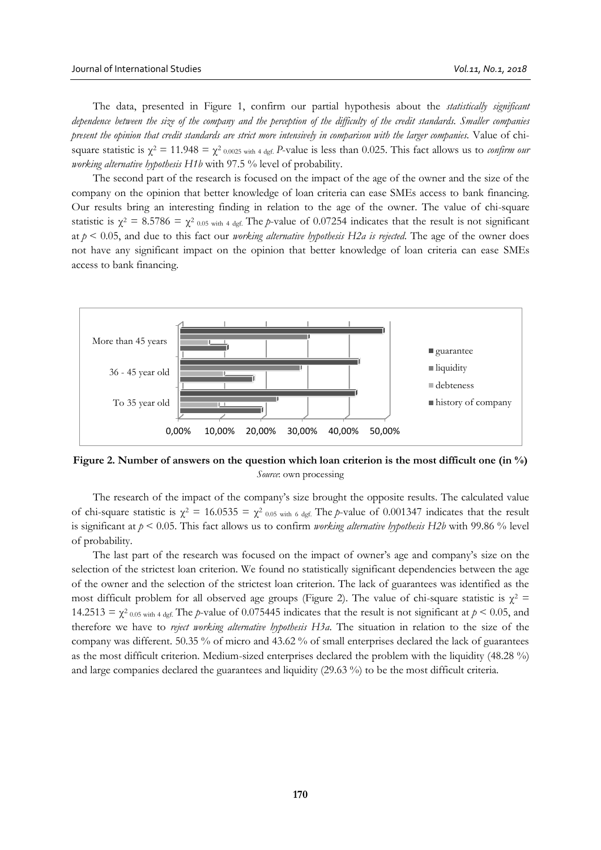The data, presented in Figure 1, confirm our partial hypothesis about the *statistically significant dependence between the size of the company and the perception of the difficulty of the credit standards. Smaller companies present the opinion that credit standards are strict more intensively in comparison with the larger companies.* Value of chisquare statistic is  $\gamma^2 = 11.948 = \gamma^2_{0.0025}$  with 4 def. *P*-value is less than 0.025. This fact allows us to *confirm our working alternative hypothesis H1b* with 97.5 % level of probability.

The second part of the research is focused on the impact of the age of the owner and the size of the company on the opinion that better knowledge of loan criteria can ease SMEs access to bank financing. Our results bring an interesting finding in relation to the age of the owner. The value of chi-square statistic is  $\chi^2 = 8.5786 = \chi^2_{0.05 \text{ with } 4 \text{ def.}}$  The *p*-value of 0.07254 indicates that the result is not significant at *p* < 0.05, and due to this fact our *working alternative hypothesis H2a is rejected*. The age of the owner does not have any significant impact on the opinion that better knowledge of loan criteria can ease SMEs access to bank financing.



**Figure 2. Number of answers on the question which loan criterion is the most difficult one (in %)** *Source*: own processing

The research of the impact of the company's size brought the opposite results. The calculated value of chi-square statistic is  $\chi^2 = 16.0535 = \chi^2$  0.05 with 6 dgf. The *p*-value of 0.001347 indicates that the result is significant at *p* < 0.05. This fact allows us to confirm *working alternative hypothesis H2b* with 99.86 % level of probability.

The last part of the research was focused on the impact of owner's age and company's size on the selection of the strictest loan criterion. We found no statistically significant dependencies between the age of the owner and the selection of the strictest loan criterion. The lack of guarantees was identified as the most difficult problem for all observed age groups (Figure 2). The value of chi-square statistic is  $\chi^2$  = 14.2513 =  $\chi^2$  0.05 with 4 dgf. The *p*-value of 0.075445 indicates that the result is not significant at  $p < 0.05$ , and therefore we have to *reject working alternative hypothesis H3a*. The situation in relation to the size of the company was different. 50.35 % of micro and 43.62 % of small enterprises declared the lack of guarantees as the most difficult criterion. Medium-sized enterprises declared the problem with the liquidity (48.28 %) and large companies declared the guarantees and liquidity (29.63 %) to be the most difficult criteria.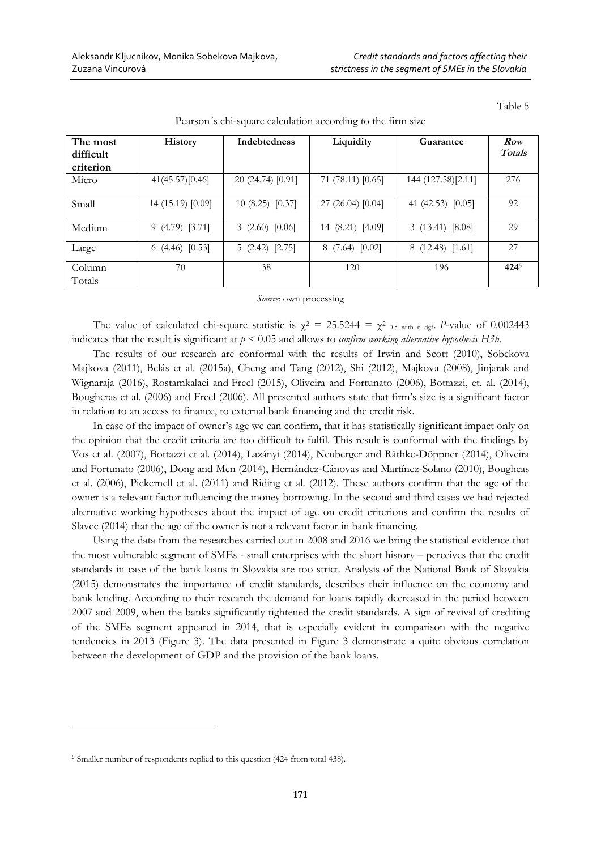| явю |  |  |
|-----|--|--|
|     |  |  |

| The most         | History           | <b>Indebtedness</b> | Liquidity         | Guarantee           | Row    |
|------------------|-------------------|---------------------|-------------------|---------------------|--------|
| difficult        |                   |                     |                   |                     | Totals |
| criterion        |                   |                     |                   |                     |        |
| Micro            | 41(45.57)[0.46]   | 20 (24.74) [0.91]   | 71 (78.11) [0.65] | 144 (127.58)[2.11]  | 276    |
| Small            | 14 (15.19) [0.09] | 10(8.25)[0.37]      | 27 (26.04) [0.04] | 41 (42.53) $[0.05]$ | 92     |
| Medium           | 9(4.79)[3.71]     | 3(2.60)[0.06]       | 14 (8.21) [4.09]  | 3(13.41) [8.08]     | 29     |
| Large            | 6 $(4.46)$ [0.53] | 5(2.42)[2.75]       | 8(7.64)[0.02]     | 8(12.48)[1.61]      | 27     |
| Column<br>Totals | 70                | 38                  | 120               | 196                 | 4245   |

Pearson´s chi-square calculation according to the firm size

### *Source*: own processing

The value of calculated chi-square statistic is  $\chi^2 = 25.5244 = \chi^2$  0.5 with 6 dgf. *P*-value of 0.002443 indicates that the result is significant at *p* < 0.05 and allows to *confirm working alternative hypothesis H3b*.

The results of our research are conformal with the results of Irwin and Scott (2010), Sobekova Majkova (2011), Belás et al. (2015a), Cheng and Tang (2012), Shi (2012), Majkova (2008), Jinjarak and Wignaraja (2016), Rostamkalaei and Freel (2015), Oliveira and Fortunato (2006), Bottazzi, et. al. (2014), Bougheras et al. (2006) and Freel (2006). All presented authors state that firm's size is a significant factor in relation to an access to finance, to external bank financing and the credit risk.

In case of the impact of owner's age we can confirm, that it has statistically significant impact only on the opinion that the credit criteria are too difficult to fulfil. This result is conformal with the findings by Vos et al. (2007), Bottazzi et al. (2014), Lazányi (2014), Neuberger and Räthke-Döppner (2014), Oliveira and Fortunato (2006), Dong and Men (2014), Hernández-Cánovas and Martínez-Solano (2010), Bougheas et al. (2006), Pickernell et al. (2011) and Riding et al. (2012). These authors confirm that the age of the owner is a relevant factor influencing the money borrowing. In the second and third cases we had rejected alternative working hypotheses about the impact of age on credit criterions and confirm the results of Slavec (2014) that the age of the owner is not a relevant factor in bank financing.

Using the data from the researches carried out in 2008 and 2016 we bring the statistical evidence that the most vulnerable segment of SMEs - small enterprises with the short history – perceives that the credit standards in case of the bank loans in Slovakia are too strict. Analysis of the National Bank of Slovakia (2015) demonstrates the importance of credit standards, describes their influence on the economy and bank lending. According to their research the demand for loans rapidly decreased in the period between 2007 and 2009, when the banks significantly tightened the credit standards. A sign of revival of crediting of the SMEs segment appeared in 2014, that is especially evident in comparison with the negative tendencies in 2013 (Figure 3). The data presented in Figure 3 demonstrate a quite obvious correlation between the development of GDP and the provision of the bank loans.

 $\ddot{\phantom{a}}$ 

<sup>5</sup> Smaller number of respondents replied to this question (424 from total 438).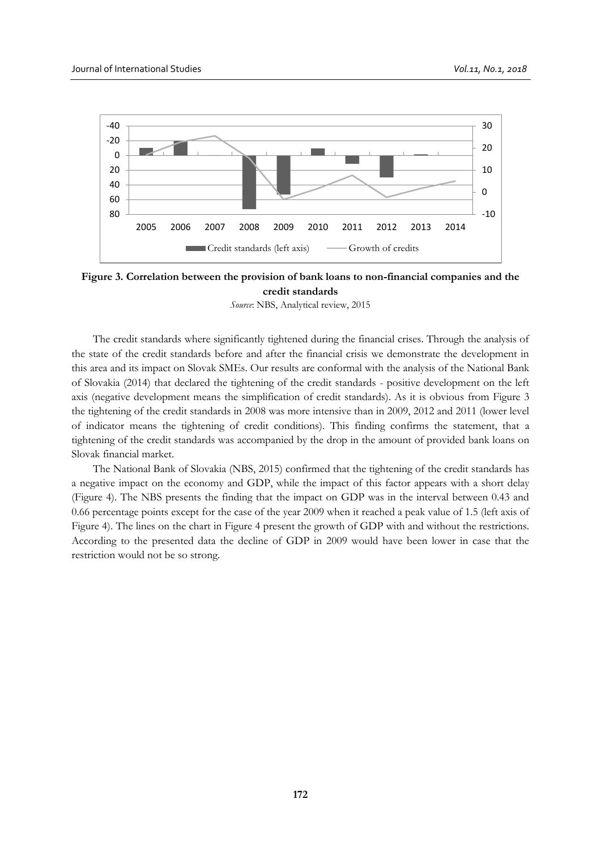

**Figure 3. Correlation between the provision of bank loans to non-financial companies and the credit standards** 

*Source*: NBS, Analytical review, 2015

The credit standards where significantly tightened during the financial crises. Through the analysis of the state of the credit standards before and after the financial crisis we demonstrate the development in this area and its impact on Slovak SMEs. Our results are conformal with the analysis of the National Bank of Slovakia (2014) that declared the tightening of the credit standards - positive development on the left axis (negative development means the simplification of credit standards). As it is obvious from Figure 3 the tightening of the credit standards in 2008 was more intensive than in 2009, 2012 and 2011 (lower level of indicator means the tightening of credit conditions). This finding confirms the statement, that a tightening of the credit standards was accompanied by the drop in the amount of provided bank loans on Slovak financial market.

The National Bank of Slovakia (NBS, 2015) confirmed that the tightening of the credit standards has a negative impact on the economy and GDP, while the impact of this factor appears with a short delay (Figure 4). The NBS presents the finding that the impact on GDP was in the interval between 0.43 and 0.66 percentage points except for the case of the year 2009 when it reached a peak value of 1.5 (left axis of Figure 4). The lines on the chart in Figure 4 present the growth of GDP with and without the restrictions. According to the presented data the decline of GDP in 2009 would have been lower in case that the restriction would not be so strong.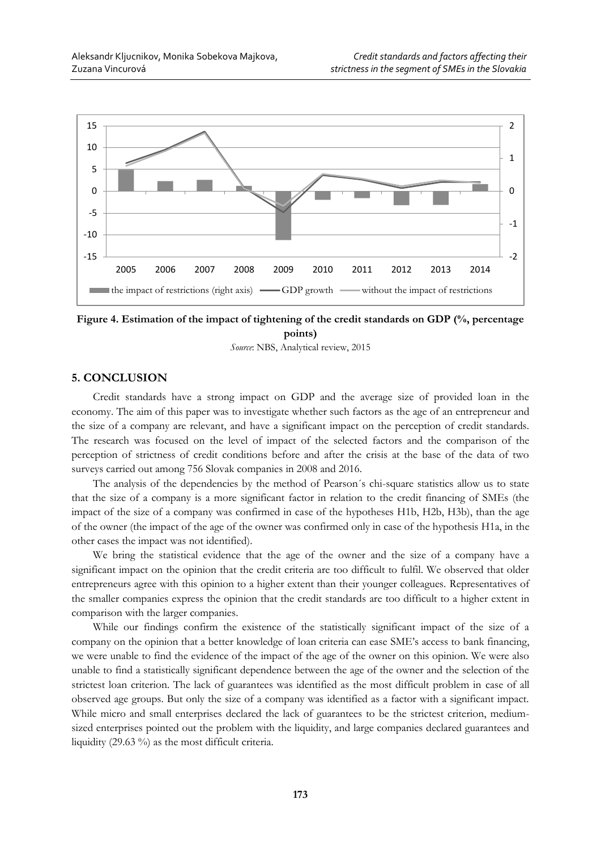

**Figure 4. Estimation of the impact of tightening of the credit standards on GDP (%, percentage points)**

*Source*: NBS, Analytical review, 2015

# **5. CONCLUSION**

Credit standards have a strong impact on GDP and the average size of provided loan in the economy. The aim of this paper was to investigate whether such factors as the age of an entrepreneur and the size of a company are relevant, and have a significant impact on the perception of credit standards. The research was focused on the level of impact of the selected factors and the comparison of the perception of strictness of credit conditions before and after the crisis at the base of the data of two surveys carried out among 756 Slovak companies in 2008 and 2016.

The analysis of the dependencies by the method of Pearson´s chi-square statistics allow us to state that the size of a company is a more significant factor in relation to the credit financing of SMEs (the impact of the size of a company was confirmed in case of the hypotheses H1b, H2b, H3b), than the age of the owner (the impact of the age of the owner was confirmed only in case of the hypothesis H1a, in the other cases the impact was not identified).

We bring the statistical evidence that the age of the owner and the size of a company have a significant impact on the opinion that the credit criteria are too difficult to fulfil. We observed that older entrepreneurs agree with this opinion to a higher extent than their younger colleagues. Representatives of the smaller companies express the opinion that the credit standards are too difficult to a higher extent in comparison with the larger companies.

While our findings confirm the existence of the statistically significant impact of the size of a company on the opinion that a better knowledge of loan criteria can ease SME's access to bank financing, we were unable to find the evidence of the impact of the age of the owner on this opinion. We were also unable to find a statistically significant dependence between the age of the owner and the selection of the strictest loan criterion. The lack of guarantees was identified as the most difficult problem in case of all observed age groups. But only the size of a company was identified as a factor with a significant impact. While micro and small enterprises declared the lack of guarantees to be the strictest criterion, mediumsized enterprises pointed out the problem with the liquidity, and large companies declared guarantees and liquidity (29.63 %) as the most difficult criteria.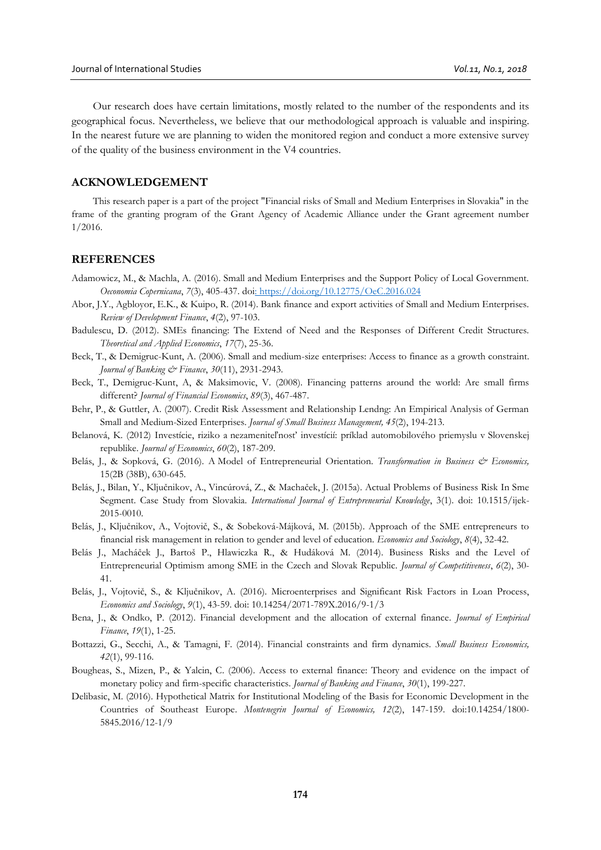Our research does have certain limitations, mostly related to the number of the respondents and its geographical focus. Nevertheless, we believe that our methodological approach is valuable and inspiring. In the nearest future we are planning to widen the monitored region and conduct a more extensive survey of the quality of the business environment in the V4 countries.

# **ACKNOWLEDGEMENT**

This research paper is a part of the project "Financial risks of Small and Medium Enterprises in Slovakia" in the frame of the granting program of the Grant Agency of Academic Alliance under the Grant agreement number 1/2016.

## **REFERENCES**

- Adamowicz, M., & Machla, A. (2016). Small and Medium Enterprises and the Support Policy of Local Government. *Oeconomia Copernicana*, *7*(3), 405-437. d[oi: https://doi.org/10.12775/OeC.2016.024](https://doi.org/10.12775/OeC.2016.024)
- Abor, J.Y., Agbloyor, E.K., & Kuipo, R. (2014). Bank finance and export activities of Small and Medium Enterprises. *Review of Development Finance*, *4*(2), 97-103.
- Badulescu, D. (2012). SMEs financing: The Extend of Need and the Responses of Different Credit Structures. *Theoretical and Applied Economics*, *17*(7), 25-36.
- Beck, T., & Demigruc-Kunt, A. (2006). Small and medium-size enterprises: Access to finance as a growth constraint. *Journal of Banking & Finance*, *30*(11), 2931-2943.
- Beck, T., Demigruc-Kunt, A, & Maksimovic, V. (2008). Financing patterns around the world: Are small firms different? *Journal of Financial Economics*, *89*(3), 467-487.
- Behr, P., & Guttler, A. (2007). Credit Risk Assessment and Relationship Lendng: An Empirical Analysis of German Small and Medium-Sized Enterprises. *Journal of Small Business Management, 45*(2), 194-213.
- Belanová, K. (2012) Investície, riziko a nezameniteľnosť investícií: príklad automobilového priemyslu v Slovenskej republike. *Journal of Economics*, *60*(2), 187-209.
- Belás, J., & Sopková, G. (2016). A Model of Entrepreneurial Orientation. *Transformation in Business & Economics,* 15(2B (38B), 630-645.
- Belás, J., Bilan, Y., Ključnikov, A., Vincúrová, Z., & Machaček, J. (2015a). Actual Problems of Business Risk In Sme Segment. Case Study from Slovakia. *International Journal of Entrepreneurial Knowledge*, 3(1). doi: 10.1515/ijek-2015-0010.
- Belás, J., Ključnikov, A., Vojtovič, S., & Sobeková-Májková, M. (2015b). Approach of the SME entrepreneurs to financial risk management in relation to gender and level of education. *Economics and Sociology*, *8*(4), 32-42.
- Belás J., Macháček J., Bartoš P., Hlawiczka R., & Hudáková M. (2014). Business Risks and the Level of Entrepreneurial Optimism among SME in the Czech and Slovak Republic. *Journal of Competitiveness*, *6*(2), 30- 41.
- Belás, J., Vojtovič, S., & Ključnikov, A. (2016). Microenterprises and Significant Risk Factors in Loan Process, *Economics and Sociology*, *9*(1), 43-59. doi: 10.14254/2071-789X.2016/9-1/3
- Bena, J., & Ondko, P. (2012). Financial development and the allocation of external finance*. Journal of Empirical Finance*, *19*(1), 1-25.
- Bottazzi, G., Secchi, A., & Tamagni, F. (2014). Financial constraints and firm dynamics. *Small Business Economics, 42*(1), 99-116.
- Bougheas, S., Mizen, P., & Yalcin, C. (2006). Access to external finance: Theory and evidence on the impact of monetary policy and firm-specific characteristics. *Journal of Banking and Finance*, *30*(1), 199-227.
- Delibasic, M. (2016). Hypothetical Matrix for Institutional Modeling of the Basis for Economic Development in the Countries of Southeast Europe. *Montenegrin Journal of Economics, 12*(2), 147-159. doi:10.14254/1800- 5845.2016/12-1/9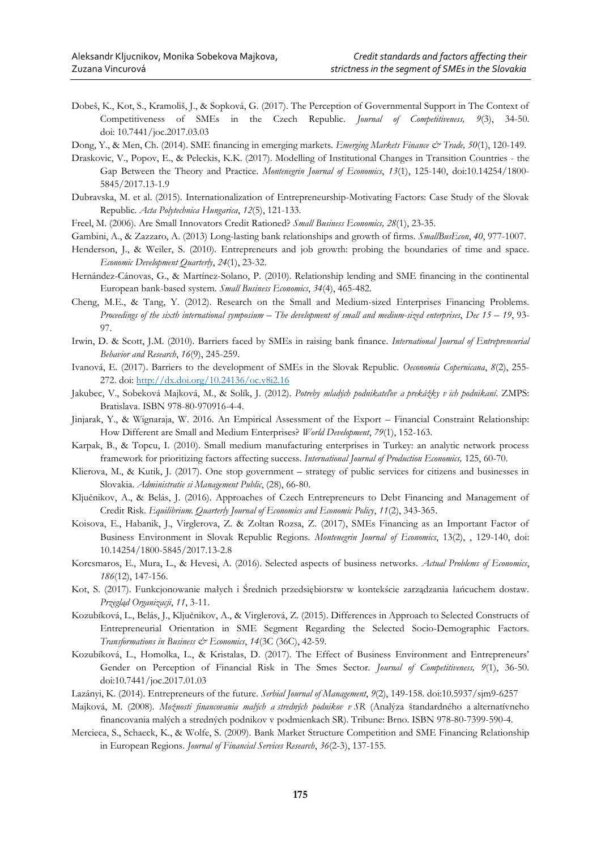- Dobeš, K., Kot, S., Kramoliš, J., & Sopková, G. (2017). The Perception of Governmental Support in The Context of Competitiveness of SMEs in the Czech Republic. *Journal of Competitiveness, 9*(3), 34-50. doi: 10.7441/joc.2017.03.03
- Dong, Y., & Men, Ch. (2014). SME financing in emerging markets. *Emerging Markets Finance & Trade, 50*(1), 120-149.
- Draskovic, V., Popov, E., & Peleckis, K.K. (2017). Modelling of Institutional Changes in Transition Countries the Gap Between the Theory and Practice. *Montenegrin Journal of Economics*, *13*(1), 125-140, doi:10.14254/1800- 5845/2017.13-1.9
- Dubravska, M. et al. (2015). Internationalization of Entrepreneurship-Motivating Factors: Case Study of the Slovak Republic. *Acta Polytechnica Hungarica*, *12*(5), 121-133.
- Freel, M. (2006). Are Small Innovators Credit Rationed? *Small Business Economics, 28*(1), 23-35.
- Gambini, A., & Zazzaro, A. (2013) Long-lasting bank relationships and growth of firms. *SmallBusEcon*, *40*, 977-1007.
- Henderson, J., & Weiler, S. (2010). Entrepreneurs and job growth: probing the boundaries of time and space. *Economic Development Quarterly*, *24*(1), 23-32.
- Hernández-Cánovas, G., & Martínez-Solano, P. (2010). Relationship lending and SME financing in the continental European bank-based system. *Small Business Economics*, *34*(4), 465-482.
- Cheng, M.E., & Tang, Y. (2012). Research on the Small and Medium-sized Enterprises Financing Problems. *Proceedings of the sixth international symposium – The development of small and medium-sized enterprises*, *Dec 15 – 19*, 93- 97.
- Irwin, D. & Scott, J.M. (2010). Barriers faced by SMEs in raising bank finance. *International Journal of Entrepreneurial Behavior and Research*, *16*(9), 245-259.
- Ivanová, E. (2017). Barriers to the development of SMEs in the Slovak Republic. *Oeconomia Copernicana*, *8*(2), 255- 272. doi:<http://dx.doi.org/10.24136/oc.v8i2.16>
- Jakubec, V., Sobeková Majková, M., & Solík, J. (2012). *Potreby mladých podnikateľov a prekážky v ich podnikaní*. ZMPS: Bratislava. ISBN 978-80-970916-4-4.
- Jinjarak, Y., & Wignaraja, W. 2016. An Empirical Assessment of the Export Financial Constraint Relationship: How Different are Small and Medium Enterprises? *World Development*, *79*(1), 152-163.
- Karpak, B., & Topcu, I. (2010). Small medium manufacturing enterprises in Turkey: an analytic network process framework for prioritizing factors affecting success. *International Journal of Production Economics,* 125, 60-70.
- Klierova, M., & Kutik, J. (2017). One stop government strategy of public services for citizens and businesses in Slovakia. *Administratie si Management Public*, (28), 66-80.
- Ključnikov, A., & Belás, J. (2016). Approaches of Czech Entrepreneurs to Debt Financing and Management of Credit Risk. *Equilibrium. Quarterly Journal of Economics and Economic Policy*, *11*(2), 343-365.
- Koisova, E., Habanik, J., Virglerova, Z. & Zoltan Rozsa, Z. (2017), SMEs Financing as an Important Factor of Business Environment in Slovak Republic Regions. *Montenegrin Journal of Economics*, 13(2), , 129-140, doi: 10.14254/1800-5845/2017.13-2.8
- Korcsmaros, E., Mura, L., & Hevesi, A. (2016). Selected aspects of business networks. *Actual Problems of Economics*, *186*(12), 147-156.
- Kot, S. (2017). Funkcjonowanie małych i Średnich przedsiębiorstw w kontekście zarządzania łańcuchem dostaw. *Przegląd Organizacji*, *11*, 3-11.
- Kozubíková, L., Belás, J., Ključnikov, A., & Virglerová, Z. (2015). Differences in Approach to Selected Constructs of Entrepreneurial Orientation in SME Segment Regarding the Selected Socio-Demographic Factors. *Transformations in Business & Economics*, *14*(3C (36C), 42-59.
- Kozubíková, L., Homolka, L., & Kristalas, D. (2017). The Effect of Business Environment and Entrepreneurs' Gender on Perception of Financial Risk in The Smes Sector. *Journal of Competitiveness, 9*(1), 36-50. doi:10.7441/joc.2017.01.03
- Lazányi, K. (2014). Entrepreneurs of the future. *Serbial Journal of Management*, *9*(2), 149-158. doi:10.5937/sjm9-6257
- Majková, M. (2008). *Možnosti financovania malých a stredných podnikov v SR* (Analýza štandardného a alternatívneho financovania malých a stredných podnikov v podmienkach SR). Tribune: Brno. ISBN 978-80-7399-590-4.
- Mercieca, S., Schaeck, K., & Wolfe, S. (2009). Bank Market Structure Competition and SME Financing Relationship in European Regions. *Journal of Financial Services Research*, *36*(2-3), 137-155.